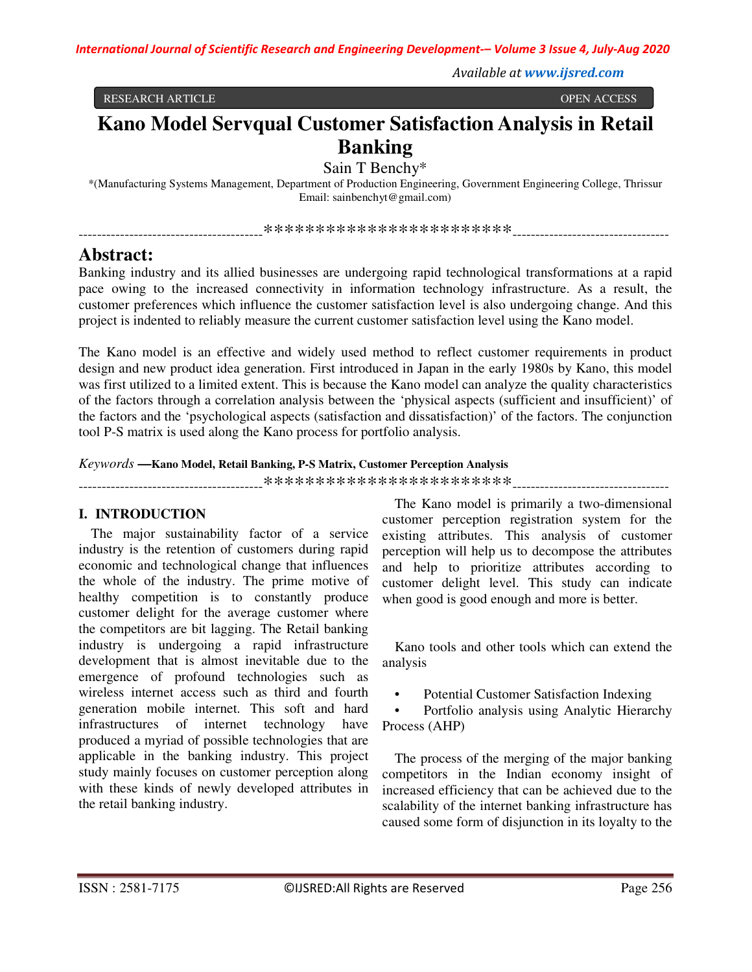*Available at www.ijsred.com*

RESEARCH ARTICLE OPEN ACCESS

# **Kano Model Servqual Customer Satisfaction Analysis in Retail Banking**

Sain T Benchy\*

\*(Manufacturing Systems Management, Department of Production Engineering, Government Engineering College, Thrissur Email: sainbenchyt@gmail.com)

----------------------------------------\*\*\*\*\*\*\*\*\*\*\*\*\*\*\*\*\*\*\*\*\*\*\*\*----------------------------------

## **Abstract:**

Banking industry and its allied businesses are undergoing rapid technological transformations at a rapid pace owing to the increased connectivity in information technology infrastructure. As a result, the customer preferences which influence the customer satisfaction level is also undergoing change. And this project is indented to reliably measure the current customer satisfaction level using the Kano model.

The Kano model is an effective and widely used method to reflect customer requirements in product design and new product idea generation. First introduced in Japan in the early 1980s by Kano, this model was first utilized to a limited extent. This is because the Kano model can analyze the quality characteristics of the factors through a correlation analysis between the 'physical aspects (sufficient and insufficient)' of the factors and the 'psychological aspects (satisfaction and dissatisfaction)' of the factors. The conjunction tool P-S matrix is used along the Kano process for portfolio analysis.

## *Keywords* **—Kano Model, Retail Banking, P-S Matrix, Customer Perception Analysis**

----------------------------------------\*\*\*\*\*\*\*\*\*\*\*\*\*\*\*\*\*\*\*\*\*\*\*\*----------------------------------

## **I. INTRODUCTION**

The major sustainability factor of a service industry is the retention of customers during rapid economic and technological change that influences the whole of the industry. The prime motive of healthy competition is to constantly produce customer delight for the average customer where the competitors are bit lagging. The Retail banking industry is undergoing a rapid infrastructure development that is almost inevitable due to the emergence of profound technologies such as wireless internet access such as third and fourth generation mobile internet. This soft and hard infrastructures of internet technology have produced a myriad of possible technologies that are applicable in the banking industry. This project study mainly focuses on customer perception along with these kinds of newly developed attributes in the retail banking industry.

The Kano model is primarily a two-dimensional customer perception registration system for the existing attributes. This analysis of customer perception will help us to decompose the attributes and help to prioritize attributes according to customer delight level. This study can indicate when good is good enough and more is better.

Kano tools and other tools which can extend the analysis

• Potential Customer Satisfaction Indexing

• Portfolio analysis using Analytic Hierarchy Process (AHP)

The process of the merging of the major banking competitors in the Indian economy insight of increased efficiency that can be achieved due to the scalability of the internet banking infrastructure has caused some form of disjunction in its loyalty to the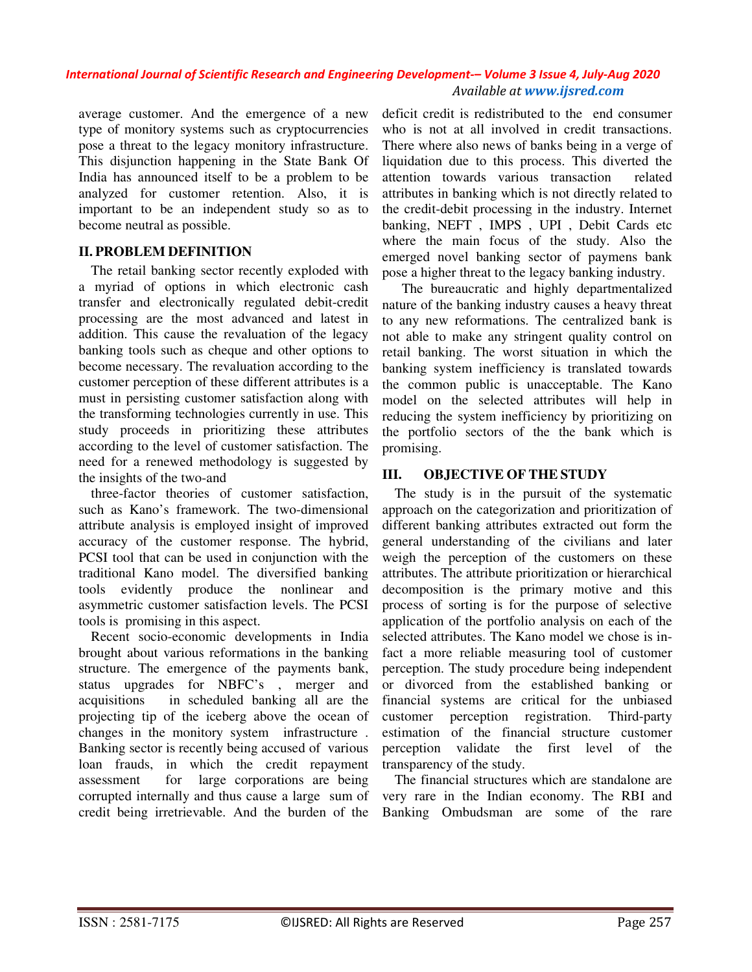average customer. And the emergence of a new type of monitory systems such as cryptocurrencies pose a threat to the legacy monitory infrastructure. This disjunction happening in the State Bank Of India has announced itself to be a problem to be analyzed for customer retention. Also, it is important to be an independent study so as to become neutral as possible.

## **II. PROBLEM DEFINITION**

The retail banking sector recently exploded with a myriad of options in which electronic cash transfer and electronically regulated debit-credit processing are the most advanced and latest in addition. This cause the revaluation of the legacy banking tools such as cheque and other options to become necessary. The revaluation according to the customer perception of these different attributes is a must in persisting customer satisfaction along with the transforming technologies currently in use. This study proceeds in prioritizing these attributes according to the level of customer satisfaction. The need for a renewed methodology is suggested by the insights of the two-and

three-factor theories of customer satisfaction, such as Kano's framework. The two-dimensional attribute analysis is employed insight of improved accuracy of the customer response. The hybrid, PCSI tool that can be used in conjunction with the traditional Kano model. The diversified banking tools evidently produce the nonlinear and asymmetric customer satisfaction levels. The PCSI tools is promising in this aspect.

Recent socio-economic developments in India brought about various reformations in the banking structure. The emergence of the payments bank, status upgrades for NBFC's , merger and acquisitions in scheduled banking all are the projecting tip of the iceberg above the ocean of changes in the monitory system infrastructure . Banking sector is recently being accused of various loan frauds, in which the credit repayment assessment for large corporations are being corrupted internally and thus cause a large sum of credit being irretrievable. And the burden of the

deficit credit is redistributed to the end consumer who is not at all involved in credit transactions. There where also news of banks being in a verge of liquidation due to this process. This diverted the attention towards various transaction related attributes in banking which is not directly related to the credit-debit processing in the industry. Internet banking, NEFT , IMPS , UPI , Debit Cards etc where the main focus of the study. Also the emerged novel banking sector of paymens bank pose a higher threat to the legacy banking industry.

 The bureaucratic and highly departmentalized nature of the banking industry causes a heavy threat to any new reformations. The centralized bank is not able to make any stringent quality control on retail banking. The worst situation in which the banking system inefficiency is translated towards the common public is unacceptable. The Kano model on the selected attributes will help in reducing the system inefficiency by prioritizing on the portfolio sectors of the the bank which is promising.

## **III. OBJECTIVE OF THE STUDY**

The study is in the pursuit of the systematic approach on the categorization and prioritization of different banking attributes extracted out form the general understanding of the civilians and later weigh the perception of the customers on these attributes. The attribute prioritization or hierarchical decomposition is the primary motive and this process of sorting is for the purpose of selective application of the portfolio analysis on each of the selected attributes. The Kano model we chose is infact a more reliable measuring tool of customer perception. The study procedure being independent or divorced from the established banking or financial systems are critical for the unbiased customer perception registration. Third-party estimation of the financial structure customer perception validate the first level of the transparency of the study.

The financial structures which are standalone are very rare in the Indian economy. The RBI and Banking Ombudsman are some of the rare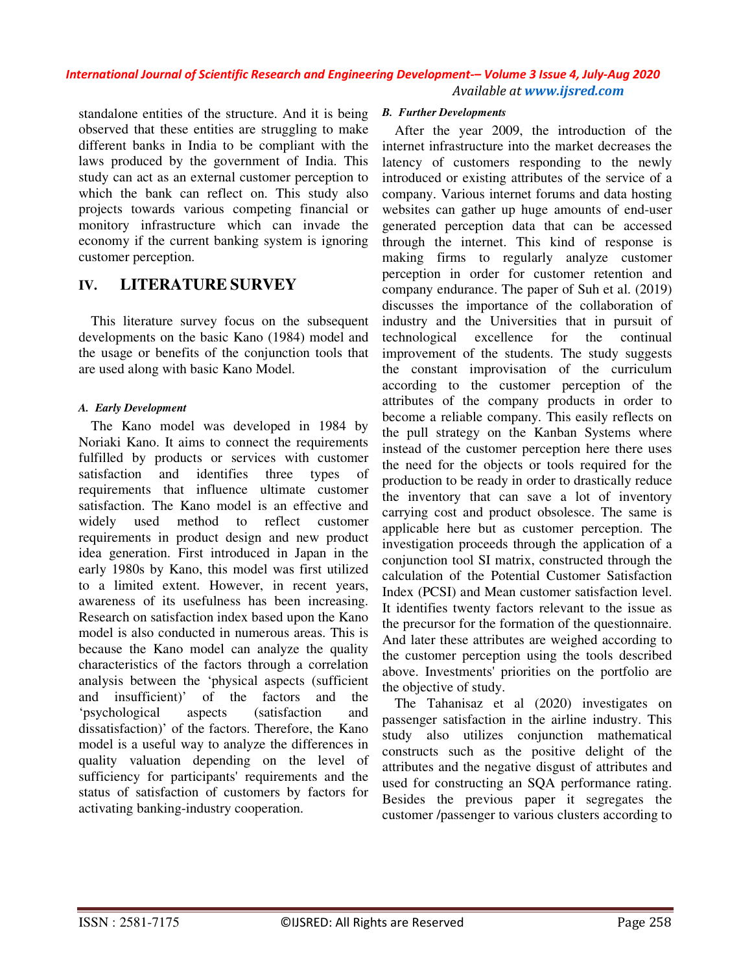standalone entities of the structure. And it is being observed that these entities are struggling to make different banks in India to be compliant with the laws produced by the government of India. This study can act as an external customer perception to which the bank can reflect on. This study also projects towards various competing financial or monitory infrastructure which can invade the economy if the current banking system is ignoring customer perception.

## **IV. LITERATURE SURVEY**

This literature survey focus on the subsequent developments on the basic Kano (1984) model and the usage or benefits of the conjunction tools that are used along with basic Kano Model.

## *A. Early Development*

The Kano model was developed in 1984 by Noriaki Kano. It aims to connect the requirements fulfilled by products or services with customer satisfaction and identifies three types of requirements that influence ultimate customer satisfaction. The Kano model is an effective and widely used method to reflect customer requirements in product design and new product idea generation. First introduced in Japan in the early 1980s by Kano, this model was first utilized to a limited extent. However, in recent years, awareness of its usefulness has been increasing. Research on satisfaction index based upon the Kano model is also conducted in numerous areas. This is because the Kano model can analyze the quality characteristics of the factors through a correlation analysis between the 'physical aspects (sufficient and insufficient)' of the factors and the 'psychological aspects (satisfaction and dissatisfaction)' of the factors. Therefore, the Kano model is a useful way to analyze the differences in quality valuation depending on the level of sufficiency for participants' requirements and the status of satisfaction of customers by factors for activating banking-industry cooperation.

#### *B. Further Developments*

After the year 2009, the introduction of the internet infrastructure into the market decreases the latency of customers responding to the newly introduced or existing attributes of the service of a company. Various internet forums and data hosting websites can gather up huge amounts of end-user generated perception data that can be accessed through the internet. This kind of response is making firms to regularly analyze customer perception in order for customer retention and company endurance. The paper of Suh et al. (2019) discusses the importance of the collaboration of industry and the Universities that in pursuit of technological excellence for the continual improvement of the students. The study suggests the constant improvisation of the curriculum according to the customer perception of the attributes of the company products in order to become a reliable company. This easily reflects on the pull strategy on the Kanban Systems where instead of the customer perception here there uses the need for the objects or tools required for the production to be ready in order to drastically reduce the inventory that can save a lot of inventory carrying cost and product obsolesce. The same is applicable here but as customer perception. The investigation proceeds through the application of a conjunction tool SI matrix, constructed through the calculation of the Potential Customer Satisfaction Index (PCSI) and Mean customer satisfaction level. It identifies twenty factors relevant to the issue as the precursor for the formation of the questionnaire. And later these attributes are weighed according to the customer perception using the tools described above. Investments' priorities on the portfolio are the objective of study.

The Tahanisaz et al (2020) investigates on passenger satisfaction in the airline industry. This study also utilizes conjunction mathematical constructs such as the positive delight of the attributes and the negative disgust of attributes and used for constructing an SQA performance rating. Besides the previous paper it segregates the customer /passenger to various clusters according to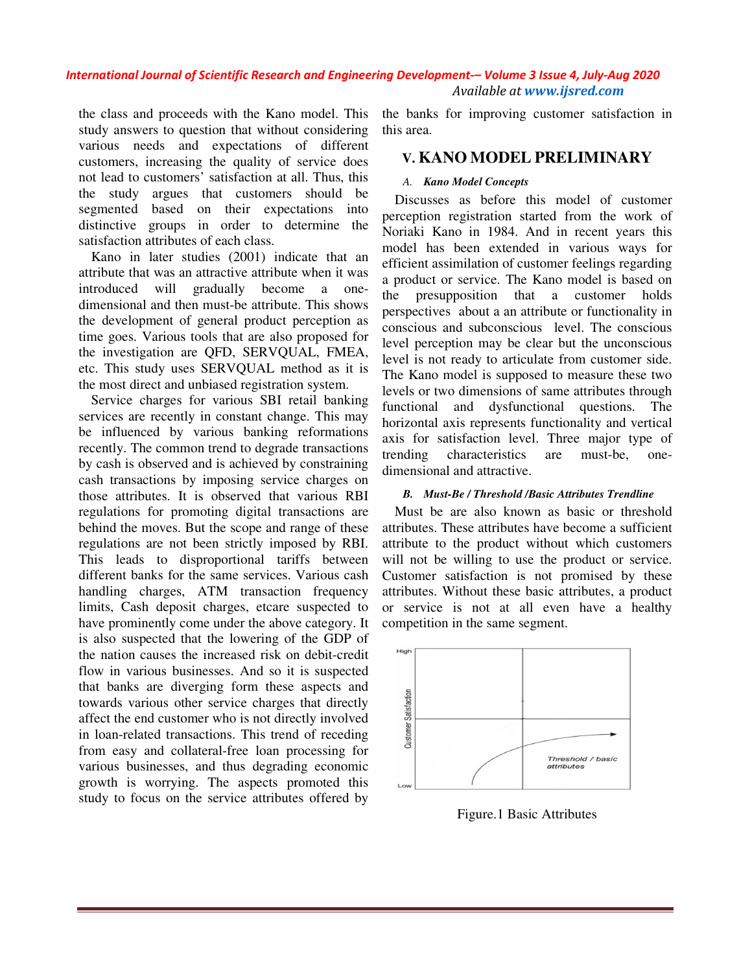the class and proceeds with the Kano model. This study answers to question that without considering various needs and expectations of different customers, increasing the quality of service does not lead to customers' satisfaction at all. Thus, this the study argues that customers should segmented based on their expectations into distinctive groups in order to determine the satisfaction attributes of each class.

Kano in later studies (2001) indicate that an attribute that was an attractive attribute when it was introduced will gradually become a one dimensional and then must-be attribute. This shows the development of general product perception as time goes. Various tools that are also proposed for the investigation are QFD, SERVQUAL, FMEA, etc. This study uses SERVQUAL method as it is the most direct and unbiased registration system. to determine the<br>
a class.<br>
1001) indicate that an<br>
1001 ve attribute when it was<br>
1001 y become a one-

Service charges for various SBI retail banking services are recently in constant change. This may be influenced by various banking reformations recently. The common trend to degrade transactions by cash is observed and is achieved by constraining cash transactions by imposing service charges on those attributes. It is observed that various RBI regulations for promoting digital transactions are behind the moves. But the scope and range of these regulations are not been strictly imposed by RBI. This leads to disproportional tariffs between different banks for the same services. Various cash handling charges, ATM transaction frequency limits, Cash deposit charges, etcare suspected to have prominently come under the above category. It is also suspected that the lowering of the GDP of the nation causes the increased risk on debit flow in various businesses. And so it is suspected that banks are diverging form these aspects and towards various other service charges that directly affect the end customer who is not directly involved in loan-related transactions. This trend of receding from easy and collateral-free loan processing for various businesses, and thus degrading economic growth is worrying. The aspects promoted this study to focus on the service attributes offered by increasing the quality of service does<br>customers' saits action at all. Thus, this<br>argues that customers should be<br>based on their expectations into the<br>groups in order to determine the N<br>multibutes of each class.<br>Later stud ensional and then must-be attribute. This shows<br>development of general product perception as<br>e goes. Various tools that are also proposed for<br>investigation are QFD, SERVQUAL, FMEA,<br>This study uses SERVQUAL method as it is<br> s and proceeds with the Kano model. This the bunk for improving customer satisfaction in<br>needs and expectations of different bunk in the bunk for improving customers satisfaction in<br>needs and expectations of different bun

this area.

## **V. KANO MODEL PRELIMINARY PRELIMINARY**

#### *A. Kano Model Concepts*

Discusses as before this model of customer perception registration started from the work of Noriaki Kano in 1984. And in recent years th model has been extended in various ways for efficient assimilation of customer feelings regarding a product or service. The Kano model is based on the presupposition that a customer holds perspectives about a an attribute or functionality in conscious and subconscious level. The conscious level perception may be clear but the unconscious level is not ready to articulate from customer side. The Kano model is supposed to measure these two levels or two dimensions of same attributes through functional and dysfunctional questions. The horizontal axis represents functionality and vertical axis for satisfaction level. Three major type of trending characteristics are must dimensional and attractive. Discusses as before this model of customer<br>reeption registration started from the work of<br>priaki Kano in 1984. And in recent years this model has been extended in various ways for<br>efficient assimilation of customer feelings regarding<br>a product or service. The Kano model is based on<br>the presupposition that a customer holds<br>perspectives about a an attribute

#### **B.** Must-Be / Threshold /Basic Attributes Trendline

Must be are also known as basic or threshold attributes. These attributes have become a sufficient attribute to the product without which customers will not be willing to use the product or service. Customer satisfaction is not promised by these attributes. Without these basic attributes, a product or service is not at all even have a healthy competition in the same segment.



Figure.1 Basic Attributes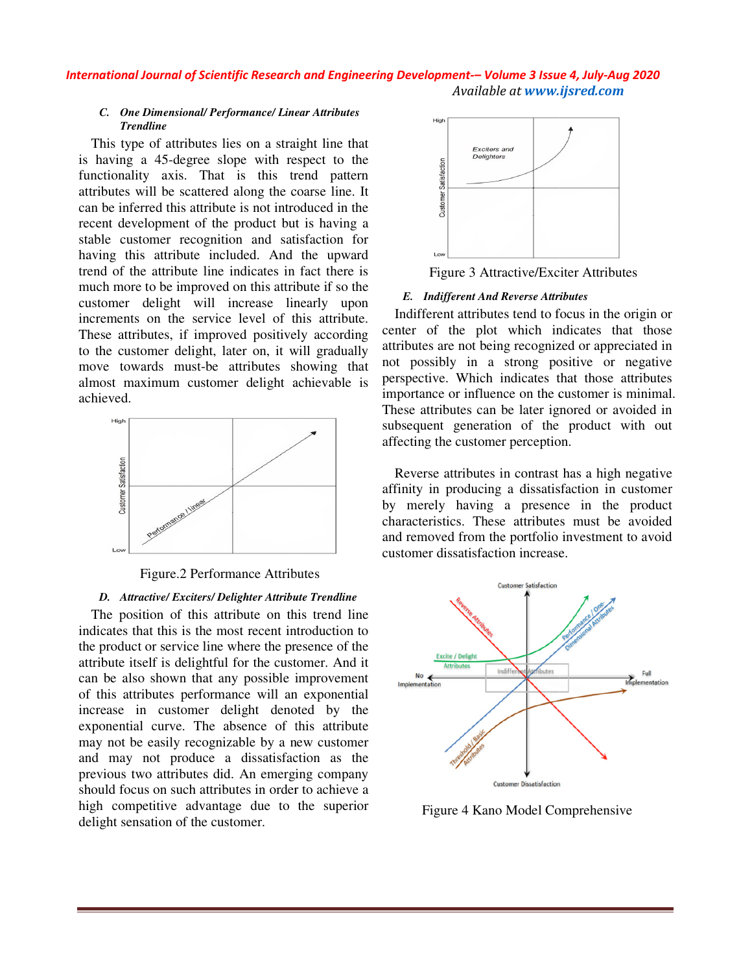#### *C. One Dimensional/ Performance/ Linear Attributes Trendline*

This type of attributes lies on a straight line that is having a 45-degree slope with respect to the functionality axis. That is this trend pattern attributes will be scattered along the coarse line. It can be inferred this attribute is not introduced in the recent development of the product but is having a stable customer recognition and satisfaction for having this attribute included. And the upward trend of the attribute line indicates in fact there is much more to be improved on this attribute if so the customer delight will increase linearly upon increments on the service level of this attribute. These attributes, if improved positively according to the customer delight, later on, it will gradually move towards must-be attributes showing that almost maximum customer delight achievable is achieved. hat the ern<br>
It the gate of the starter of the gate of the starter of the starter of the starter of the starter of the conduction and beginning that the starter of the starter of the starter of the starter of the starter o degree slope with respect to the<br>is. That is this trend pattern<br>exactered along the coarse line. It<br>is attribute is not introduced in the<br>ent of the product but is having a included. And the upward<br>of the attribute line indicates in fact there is<br>ment delight will increase linearly upon<br>ments on the service level of this attribute.<br>e attributes, if improved positively according<br>e customer del



Figure.2 Performance Attributes

#### *D. Attractive/ Exciters/ Delighter Attribute Trendline*

The position of this attribute on this trend line indicates that this is the most recent introduction to the product or service line where the presence of the attribute itself is delightful for the customer. And it can be also shown that any possible impro of this attributes performance will an exponential increase in customer delight denoted by the exponential curve. The absence of this attribute may not be easily recognizable by a new customer and may not produce a dissatisfaction as the previous two attributes did. An emerging company should focus on such attributes in order to achieve a high competitive advantage due to the superior delight sensation of the customer.



#### *E. Indifferent And Reverse Attributes*

Indifferent attributes tend to focus in the origin or center of the plot which indicates that those attributes are not being recognized or appreciated in not possibly in a strong positive or negative perspective. Which indicates that those attri importance or influence on the customer is minimal. These attributes can be later ignored or avoided in subsequent generation of the product with out affecting the customer perception. Figure 3 Attractive/Exciter Attributes<br>
E. Indifferent And Reverse Attributes<br>
Indifferent attributes tend to focus in the origin or<br>
center of the plot which indicates that those<br>
attributes are not being recognized or ap

Reverse attributes in contrast has a high negative affinity in producing a dissatisfaction in customer by merely having a presence in the product characteristics. These attributes must be avoided and removed from the portfolio investment to avoid customer dissatisfaction increase. importance or influence on the customer is mi<br>These attributes can be later ignored or avoid<br>subsequent generation of the product with<br>affecting the customer perception.<br>Reverse attributes in contrast has a high neg<br>affini



Figure 4 Kano Model Comprehensive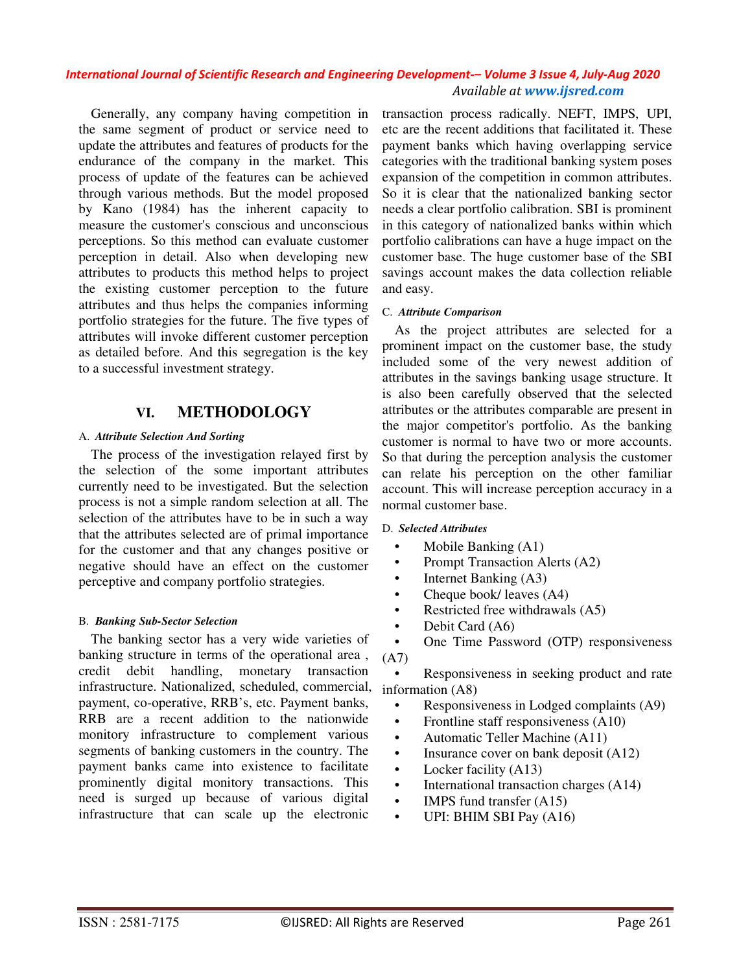Generally, any company having competition in the same segment of product or service need to update the attributes and features of products for the endurance of the company in the market. This process of update of the features can be achieved through various methods. But the model proposed by Kano (1984) has the inherent capacity to measure the customer's conscious and unconscious perceptions. So this method can evaluate customer perception in detail. Also when developing new attributes to products this method helps to project the existing customer perception to the future attributes and thus helps the companies informing portfolio strategies for the future. The five types of attributes will invoke different customer perception as detailed before. And this segregation is the key to a successful investment strategy.

## **VI. METHODOLOGY**

#### A. *Attribute Selection And Sorting*

The process of the investigation relayed first by the selection of the some important attributes currently need to be investigated. But the selection process is not a simple random selection at all. The selection of the attributes have to be in such a way that the attributes selected are of primal importance for the customer and that any changes positive or negative should have an effect on the customer perceptive and company portfolio strategies.

#### B. *Banking Sub-Sector Selection*

The banking sector has a very wide varieties of banking structure in terms of the operational area , credit debit handling, monetary transaction infrastructure. Nationalized, scheduled, commercial, payment, co-operative, RRB's, etc. Payment banks, RRB are a recent addition to the nationwide monitory infrastructure to complement various segments of banking customers in the country. The payment banks came into existence to facilitate prominently digital monitory transactions. This need is surged up because of various digital infrastructure that can scale up the electronic

transaction process radically. NEFT, IMPS, UPI, etc are the recent additions that facilitated it. These payment banks which having overlapping service categories with the traditional banking system poses expansion of the competition in common attributes. So it is clear that the nationalized banking sector needs a clear portfolio calibration. SBI is prominent in this category of nationalized banks within which portfolio calibrations can have a huge impact on the customer base. The huge customer base of the SBI savings account makes the data collection reliable and easy.

#### C. *Attribute Comparison*

As the project attributes are selected for a prominent impact on the customer base, the study included some of the very newest addition of attributes in the savings banking usage structure. It is also been carefully observed that the selected attributes or the attributes comparable are present in the major competitor's portfolio. As the banking customer is normal to have two or more accounts. So that during the perception analysis the customer can relate his perception on the other familiar account. This will increase perception accuracy in a normal customer base.

#### D. *Selected Attributes*

- Mobile Banking (A1)
- Prompt Transaction Alerts (A2)
- Internet Banking (A3)
- Cheque book/ leaves (A4)
- Restricted free withdrawals (A5)
- Debit Card (A6)
- One Time Password (OTP) responsiveness (A7)

• Responsiveness in seeking product and rate information (A8)

- Responsiveness in Lodged complaints (A9)
- Frontline staff responsiveness (A10)
- Automatic Teller Machine (A11)
- Insurance cover on bank deposit (A12)
- Locker facility (A13)
- International transaction charges (A14)
- IMPS fund transfer  $(A15)$
- UPI: BHIM SBI Pay (A16)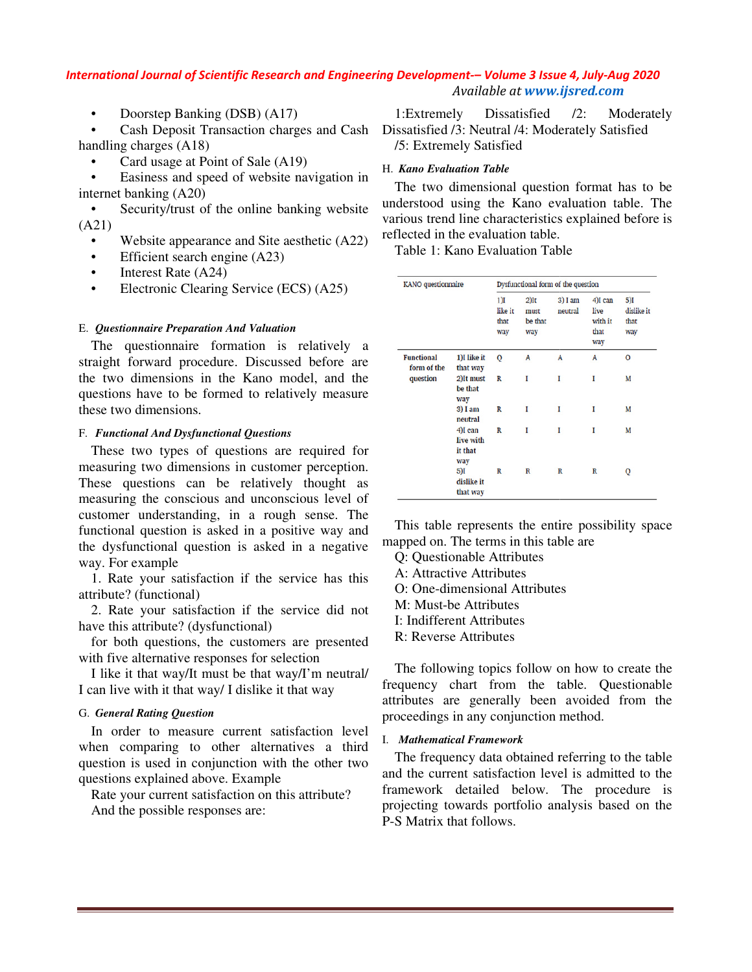• Doorstep Banking (DSB) (A17)

• Cash Deposit Transaction charges and Cash handling charges (A18)

Card usage at Point of Sale (A19)

Easiness and speed of website navigation in internet banking (A20)

• Security/trust of the online banking website (A21) • Security/trust of the online banking web<br>
21)<br>
• Website appearance and Site aesthetic (A<br>
• Efficient search engine (A23)<br>
• Interest Rate (A24)<br>
• Electronic Clearing Service (ECS) (A25)

- Website appearance and Site aesthetic (A22)
- Efficient search engine (A23)
- Interest Rate (A24)
- 

#### **E.** Questionnaire Preparation And Valuation

The questionnaire formation is relatively a straight forward procedure. Discussed before are the two dimensions in the Kano model, and the questions have to be formed to relatively measure these two dimensions.

#### F. *Functional And Dysfunctional Questions*

These two types of questions are required for measuring two dimensions in customer perception. These questions can be relatively thought as measuring the conscious and unconscious level of customer understanding, in a rough sense. The functional question is asked in a positive way and the dysfunctional question is asked in a negative way. For example in in the diverse of the diverse of the diverse of the diverse of the diverse of the diverse of the diverse of the diverse of the diverse properties of the properties of the properties of the properties of the properties o ions in the Kano model, and the<br>to be formed to relatively measure<br>sions.<br>*I Dysfunctional Questions*<br>repess of questions are required for<br>dimensions in customer perception.<br>is can be relatively thought as<br>conscious and un

1. Rate your satisfaction if the service has this attribute? (functional)

2. Rate your satisfaction if the service did not have this attribute? (dysfunctional)

for both questions, the customers are presented with five alternative responses for selection

I like it that way/It must be that way/I'm neutral/ I can live with it that way/ I dislike it that way

#### G. *General Rating Question*

In order to measure current satisfaction level when comparing to other alternatives a third question is used in conjunction with the other two questions explained above. Example

Rate your current satisfaction on this attribute? And the possible responses are:

## H. *Kano Evaluation Table*

| $\lambda$<br>ges and Cash:                                       | 12:<br>1:Extremely Dissatisfied<br>Moderately<br>Dissatisfied /3: Neutral /4: Moderately Satisfied<br>/5: Extremely Satisfied                          |                                      |                                                                                                           |                                   |                    |                                           |                                  |  |  |
|------------------------------------------------------------------|--------------------------------------------------------------------------------------------------------------------------------------------------------|--------------------------------------|-----------------------------------------------------------------------------------------------------------|-----------------------------------|--------------------|-------------------------------------------|----------------------------------|--|--|
| 19)<br>navigation in                                             | H. Kano Evaluation Table<br>The two dimensional question format has to be                                                                              |                                      |                                                                                                           |                                   |                    |                                           |                                  |  |  |
| nking website                                                    |                                                                                                                                                        |                                      | understood using the Kano evaluation table. The<br>various trend line characteristics explained before is |                                   |                    |                                           |                                  |  |  |
| esthetic (A22)                                                   | reflected in the evaluation table.<br>Table 1: Kano Evaluation Table                                                                                   |                                      |                                                                                                           |                                   |                    |                                           |                                  |  |  |
| $CS)$ (A25)                                                      | KANO questionnaire                                                                                                                                     | Dysfunctional form of the question   |                                                                                                           |                                   |                    |                                           |                                  |  |  |
| relatively a                                                     |                                                                                                                                                        |                                      | $1$ )I<br>like it<br>that<br>way                                                                          | $2)$ It<br>must<br>be that<br>way | 3) I am<br>neutral | 4)I can<br>live<br>with it<br>that<br>way | 5)I<br>dislike it<br>that<br>way |  |  |
| ed before are                                                    | <b>Functional</b><br>form of the                                                                                                                       | 1)I like it<br>that way              | o                                                                                                         | A                                 | A                  | A                                         | o                                |  |  |
| odel, and the<br>vely measure                                    | question                                                                                                                                               | 2)It must<br>be that<br>way          | R                                                                                                         | I                                 | L                  | I                                         | M                                |  |  |
|                                                                  |                                                                                                                                                        | 3) I am<br>neutral                   | R                                                                                                         | $\mathbf I$                       | I                  | I                                         | M                                |  |  |
| required for                                                     |                                                                                                                                                        | 4)I can<br>live with<br>it that      | R                                                                                                         | I                                 | 1                  | I                                         | М                                |  |  |
| er perception.<br>thought<br>as                                  |                                                                                                                                                        | way<br>5)I<br>dislike it<br>that way | R                                                                                                         | R                                 | R                  | R                                         | Q                                |  |  |
| cious level of<br>n sense. The<br>itive way and<br>in a negative | This table represents the entire possibility space<br>mapped on. The terms in this table are<br>Q: Questionable Attributes<br>A: Attractive Attributes |                                      |                                                                                                           |                                   |                    |                                           |                                  |  |  |
| rvice has this                                                   |                                                                                                                                                        |                                      |                                                                                                           |                                   |                    |                                           |                                  |  |  |
| rvice did not                                                    | O: One-dimensional Attributes<br>M: Must-be Attributes<br>I: Indifferent Attributes                                                                    |                                      |                                                                                                           |                                   |                    |                                           |                                  |  |  |
| are presented<br>ction                                           | R: Reverse Attributes                                                                                                                                  |                                      |                                                                                                           |                                   |                    |                                           |                                  |  |  |
| y/I'm neutral/<br>hat way                                        | The following topics follow on how to create the<br>frequency chart from the table. Questionable<br>attributes are generally been avoided from the     |                                      |                                                                                                           |                                   |                    |                                           |                                  |  |  |
| sfaction level                                                   | proceedings in any conjunction method.<br>I. Mathematical Framework                                                                                    |                                      |                                                                                                           |                                   |                    |                                           |                                  |  |  |
| ives a third<br>the other two                                    | The frequency data obtained referring to the table                                                                                                     |                                      |                                                                                                           |                                   |                    |                                           |                                  |  |  |

- Q: Questionable Attributes
- A: Attractive Attributes
- O: One-dimensional Attributes
- M: Must-be Attributes
- I: Indifferent Attributes
- R: Reverse Attributes

#### I. *Mathematical Framework*

The frequency data obtained referring to the table and the current satisfaction level is admitted to the framework detailed below. The projecting towards portfolio analysis based on the P-S Matrix that follows. ributes are generally been avoided from the<br>oceedings in any conjunction method.<br>Mathematical Framework<br>The frequency data obtained referring to the table<br>d the current satisfaction level is admitted to the<br>nmework detaile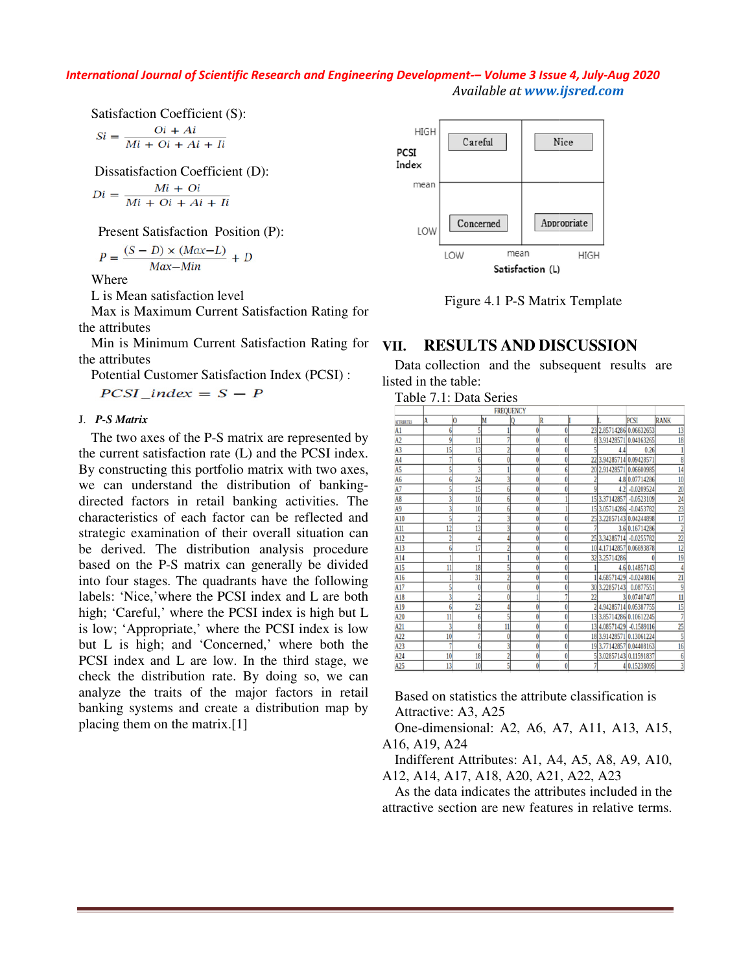Satisfaction Coefficient (S):

$$
Si = \frac{Qi + Ai}{Mi + Qi + Ai + Ii}
$$

Dissatisfaction Coefficient (D):

$$
Di = \frac{Mi + Qi}{Mi + Qi + Ai + Ii}
$$

Present Satisfaction Position (P):

$$
P = \frac{(S - D) \times (Max - L)}{Max - Min} + D
$$

Where

L is Mean satisfaction level

Max is Maximum Current Satisfaction Rating for the attributes

Min is Minimum Current Satisfaction Rating for the attributes

Potential Customer Satisfaction Index (PCSI) :

#### J. *P-S Matrix*

The two axes of the P-S matrix are represented by the current satisfaction rate (L) and the PCSI index. By constructing this portfolio matrix with two axes, we can understand the distribution of banking directed factors in retail banking activities. The characteristics of each factor can be reflected and strategic examination of their overall situation can be derived. The distribution analysis procedure based on the P-S matrix can generally be divided into four stages. The quadrants have the following labels: 'Nice,'where the PCSI index and L are both high; 'Careful,' where the PCSI index is high but L is low; 'Appropriate,' where the PCSI index is low but L is high; and 'Concerned,' where both the PCSI index and L are low. In the third stage, we check the distribution rate. By doing so, we can analyze the traits of the major factors in retail banking systems and create a distribution map by placing them on the matrix.[1] rent Satisfaction Rating for<br>
rent Satisfaction Rating for<br>
visfaction Index (PCSI) :<br>  $S - P$ <br>
S matrix are represented by<br>
ate (L) and the PCSI index.<br>
folio matrix with two axes,<br>
distribution of banking-<br>
il banking act ed factors in retail banking activities. The<br>teristics of each factor can be reflected and<br>gic examination of their overall situation can<br>erived. The distribution analysis procedure<br>on the P-S matrix can generally be divid in the internal statistical method of the internal stage, and the subsequent of the internal Catomer Satisfaction Rating for Figure 4.1 P-S Matrix Template<br>
in S. Maximum Current Satisfaction Index (PCSI) :<br>
Data collecti



## **VII. RESULTS AND DISCUSSION**

| Table 7.1: Data Series |
|------------------------|
|                        |

|                                                                                                                                                                                                             |                     |                         | Table 7.1: Data Series<br><b>FREQUENCY</b> |                      |                                    |                |                          |                                        |                |
|-------------------------------------------------------------------------------------------------------------------------------------------------------------------------------------------------------------|---------------------|-------------------------|--------------------------------------------|----------------------|------------------------------------|----------------|--------------------------|----------------------------------------|----------------|
| A<br><b>ATTRIBUTES</b>                                                                                                                                                                                      | O                   | M                       | Q                                          | R                    |                                    |                |                          | <b>PCSI</b>                            | <b>RANK</b>    |
| A1                                                                                                                                                                                                          | $6 \mid$            | 5                       | $\mathbf{1}$                               | $\vert 0 \vert$      | $\overline{0}$                     |                |                          | 23 2.85714286 0.06632653               | 13             |
| A2                                                                                                                                                                                                          | 9                   | $\overline{11}$         | 7                                          | $\vert 0 \vert$      | $\boldsymbol{0}$                   |                |                          | 8 3.91428571 0.04163265                | 18             |
| A <sub>3</sub>                                                                                                                                                                                              | 15                  | 13                      | $\overline{2}$                             | $\bf{0}$             | $\bf{0}$                           | $\mathsf{S}$   | 4.4                      | 0.26                                   | 1              |
| A <sub>4</sub>                                                                                                                                                                                              | $\overline{7}$      | $6 \overline{6}$        | $\bf{0}$                                   | $\bf{0}$             | $\overline{0}$                     |                | 22 3.94285714 0.09428571 |                                        | 8              |
| A5                                                                                                                                                                                                          | 5                   | $\overline{\mathbf{3}}$ | ĺ                                          | $\bf{0}$             | 6 <sup>1</sup>                     |                |                          | 20 2.91428571 0.06600985               | 14             |
| A <sub>6</sub>                                                                                                                                                                                              | 6                   | 24                      | $\overline{3}$                             | $\bf{0}$             | $\vert 0 \vert$                    | $\overline{2}$ |                          | 4.8 0.07714286                         | 10             |
| A7                                                                                                                                                                                                          | 5                   | 15                      | $6 \mid$                                   | $\bf{0}$             | $\boldsymbol{0}$                   | $\overline{9}$ |                          | 4.2 -0.0209524                         | 20             |
| A <sub>8</sub><br>A <sub>9</sub>                                                                                                                                                                            | 3<br>$\overline{3}$ | 10<br>10                | $6\overline{6}$<br>$6 \mid$                | 0<br>$\overline{0}$  | 1<br>1                             |                | 15 3.05714286 -0.0453782 | 15 3.37142857 -0.0523109               | 24<br>23       |
| A10                                                                                                                                                                                                         | 5                   | $\overline{2}$          | 3                                          | $\bf{0}$             | $\boldsymbol{0}$                   |                |                          | 25 3.22857143 0.04244898               | 17             |
| A11                                                                                                                                                                                                         | 12                  | 13                      | 3                                          | $\bf{0}$             | $\vert 0 \vert$                    |                |                          | 3.6 0.16714286                         | $\overline{c}$ |
| A12                                                                                                                                                                                                         | $\overline{2}$      | 4                       | $\overline{4}$                             | $\overline{0}$       | $\vert 0 \vert$                    |                | 25 3.34285714 -0.0255782 |                                        | 22             |
| A13                                                                                                                                                                                                         | 6                   | 17                      | $\overline{2}$                             | $\bf{0}$             | $\bf{0}$                           |                |                          | 10 4.17142857 0.06693878               | 12             |
| A14                                                                                                                                                                                                         | $\mathbf{1}$        | $\mathbf{1}$            | $\mathbf{1}$                               | $\bf{0}$             | $\vert$                            |                | 32 3.25714286            |                                        | 19             |
| A15                                                                                                                                                                                                         | 11                  | 18                      | 5                                          | $\bf{0}$             | $\bf{0}$                           |                |                          | 4.6 0.14857143                         | 4              |
| A16                                                                                                                                                                                                         | $\mathbf{1}$        | 31                      | $\overline{2}$                             | $\bf{0}$             | $\overline{0}$                     |                |                          | 14.68571429 -0.0240816                 | 21             |
| A17                                                                                                                                                                                                         | 5                   | $\bf{0}$                | $\overline{0}$                             | $\bf{0}$             | $\vert 0 \vert$                    |                | 30 3.22857143 0.0877551  |                                        | 9              |
| A18                                                                                                                                                                                                         | $\overline{3}$      | $\overline{2}$          | $\overline{0}$                             | $\mathbf{1}$         | 7                                  | 22             |                          | 3 0.07407407                           | 11             |
| A19                                                                                                                                                                                                         | 6                   | 23                      | $\overline{4}$                             | $\bf{0}$             | $\overline{0}$                     |                |                          | 2 4.94285714 0.05387755                | 15             |
| A20                                                                                                                                                                                                         | 11                  | $6 \overline{6}$        | $\overline{5}$                             | 0                    | $\bf{0}$                           |                |                          | 13 3.85714286 0.10612245               | $\overline{7}$ |
| A21                                                                                                                                                                                                         | 3                   | $\bf{8}$                | 11                                         | $\overline{0}$       | $\vert 0 \vert$                    |                |                          | 13 4.08571429 -0.1589116               | 25             |
| A22                                                                                                                                                                                                         | 10 <sup>1</sup>     | $\overline{7}$          | $\bf{0}$                                   | $\bf{0}$             | $\bf{0}$                           |                |                          | 18 3.91428571 0.13061224               | 5              |
| A23                                                                                                                                                                                                         | $\overline{7}$      | $6 \overline{6}$        | 3                                          | $\bf{0}$             | $\vert 0 \vert$                    |                |                          | 19 3.77142857 0.04408163               | 16<br>6        |
|                                                                                                                                                                                                             |                     |                         |                                            |                      |                                    |                |                          |                                        | 3              |
| A24<br>A25<br>Based on statistics the attribute classification is<br>Attractive: A3, A25<br>One-dimensional: A2, A6, A7, A11, A13, A15,<br>16, A19, A24<br>Indifferent Attributes: A1, A4, A5, A8, A9, A10, | 10<br>13            | 18<br>10                | $\overline{2}$<br>5                        | $\bf{0}$<br>$\bf{0}$ | $\vert 0 \vert$<br>$\vert 0 \vert$ |                |                          | 53.02857143 0.11591837<br>4 0.15238095 |                |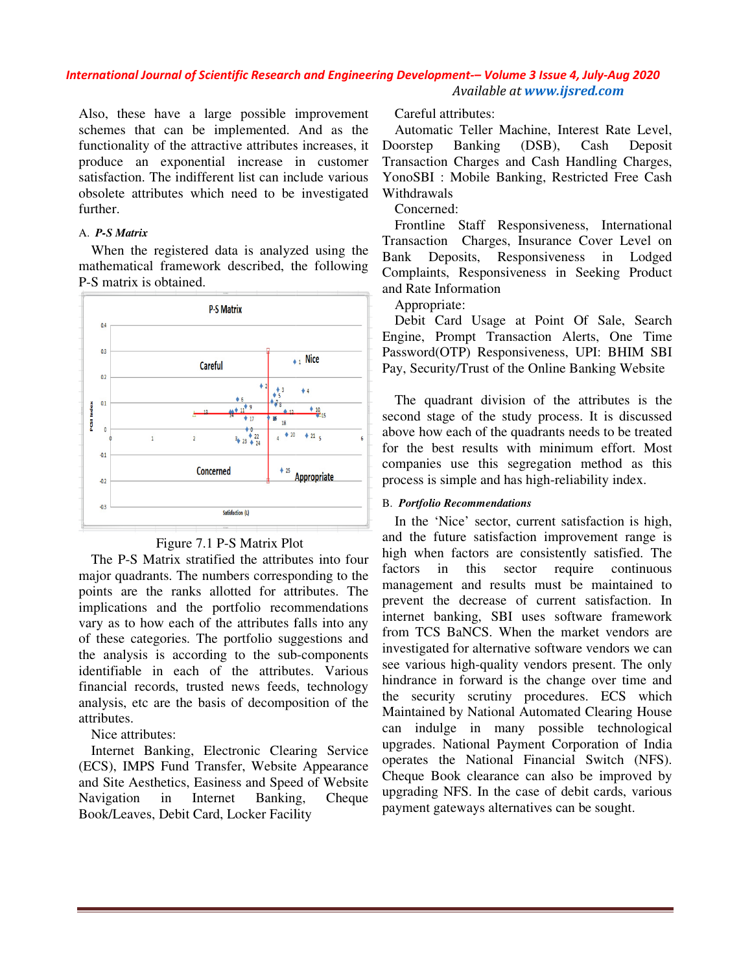Also, these have a large possible improvement schemes that can be implemented. And as the functionality of the attractive attributes increases, it produce an exponential increase in customer satisfaction. The indifferent list can include various obsolete attributes which need to be investigated further.

#### A. *P-S Matrix*

When the registered data is analyzed using the mathematical framework described, the following P-S matrix is obtained.



## Figure 7.1 P-S Matrix Plot

The P-S Matrix stratified the attributes into four major quadrants. The numbers corresponding to the points are the ranks allotted for attributes. The implications and the portfolio recommendations vary as to how each of the attributes falls into any of these categories. The portfolio suggestions and the analysis is according to the sub identifiable in each of the attributes. Various financial records, trusted news feeds, technology analysis, etc are the basis of decomposition of the attributes.

Nice attributes:

Internet Banking, Electronic Clearing Service (ECS), IMPS Fund Transfer, Website Appearance and Site Aesthetics, Easiness and Speed of Website Navigation in Internet Banking, Cheque Book/Leaves, Debit Card, Locker Facility

Automatic Teller Machine, Interest Rate Level, Doorstep Banking (DSB), Cash Deposit Transaction Charges and Cash Handling Charges, YonoSBI : Mobile Banking, Restricted Free Cash Withdrawals

Concerned:

Frontline Staff Responsiveness, International Transaction Charges, Insurance Cover Level on Bank Deposits, Responsiveness in Lodged Complaints, Responsiveness in Seeking Product and Rate Information Automatic Teller Machine, Interest Rate Level,<br>Doorstep Banking (DSB), Cash Deposit<br>Transaction Charges and Cash Handling Charges,<br>YonoSBI : Mobile Banking, Restricted Free Cash<br>Withdrawals<br>Concerned:<br>Frontline Staff Respo

Appropriate:

Debit Card Usage at Point Of Sale, Search Engine, Prompt Transaction Alerts, One Time Password(OTP) Responsiveness, UPI: BHIM SBI Pay, Security/Trust of the Online Banking Website

The quadrant division of the attributes is the second stage of the study process. It is discussed above how each of the quadrants needs to be treated for the best results with minimum effort. Most companies use this segregation method as this for the best results with minimum effort. I<br>companies use this segregation method as<br>process is simple and has high-reliability index.

## B. *Portfolio Recommendations*

ible improvement Careful attributes:<br>
the And as the Automatic Teller<br>
iblues increases, it Doorstep Banking<br>
ase in customer Transaction Charges<br>
concerned: Frontline Staff<br>
malyzed using the Transaction Charges<br>
ed, the In the 'Nice' sector, current satisfaction is high, and the future satisfaction improvement range is high when factors are consistently satisfied. The factors in this sector require continuous management and results must be maintained to prevent the decrease of current satisfaction. In internet banking, SBI uses software framework from TCS BaNCS. When the market vendors are investigated for alternative software vendors we can see various high-quality vendors present. The only hindrance in forward is the change over time and the security scrutiny procedures. ECS which Maintained by National Automated Clearing House can indulge in many possible technological upgrades. National Payment Corporation of India operates the National Financial Switch (NFS). Cheque Book clearance can also be improved by upgrading NFS. In the case of debit cards, various payment gateways alternatives can be sought. In the 'Nice' sector, current satisfaction is high,<br>d the future satisfaction improvement range is<br>gh when factors are consistently satisfied. The<br>ctors in this sector require continuous<br>anagement and results must be maint see various high-quality vendors present. The only<br>hindrance in forward is the change over time and<br>the security scrutiny procedures. ECS which<br>Maintained by National Automated Clearing House he National Financial Switch<br>bok clearance can also be impro<br>NFS. In the case of debit cards,<br>tteways alternatives can be sought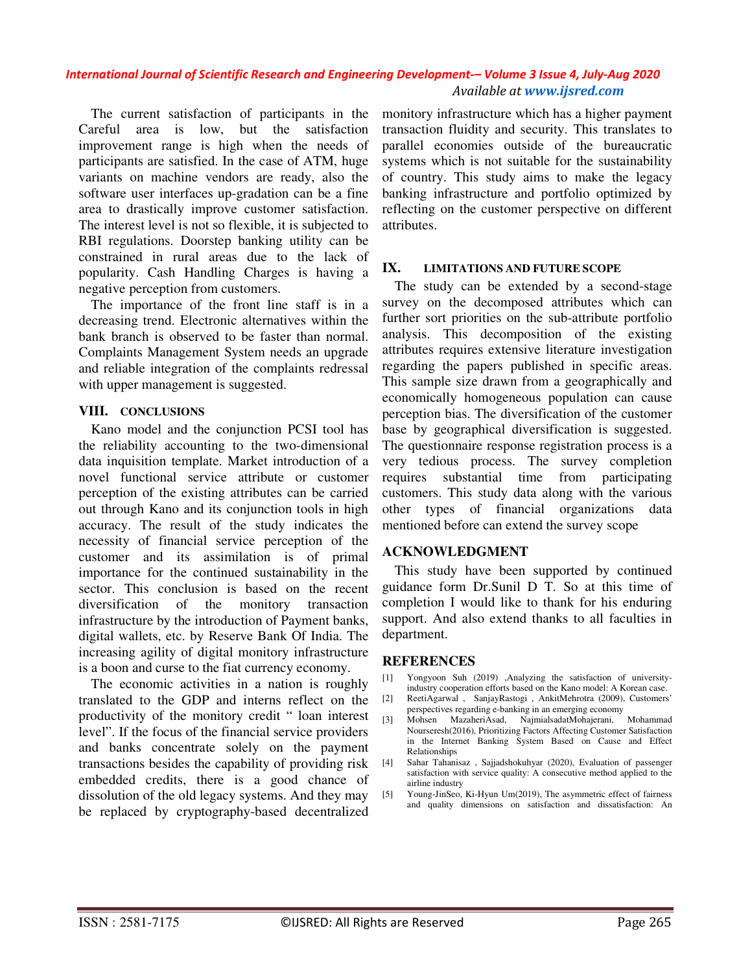The current satisfaction of participants in the Careful area is low, but the satisfaction improvement range is high when the needs of participants are satisfied. In the case of ATM, huge variants on machine vendors are ready, also the software user interfaces up-gradation can be a fine area to drastically improve customer satisfaction. The interest level is not so flexible, it is subjected to RBI regulations. Doorstep banking utility can be constrained in rural areas due to the lack of popularity. Cash Handling Charges is having a negative perception from customers.

The importance of the front line staff is in a decreasing trend. Electronic alternatives within the bank branch is observed to be faster than normal. Complaints Management System needs an upgrade and reliable integration of the complaints redressal with upper management is suggested.

## **VIII. CONCLUSIONS**

Kano model and the conjunction PCSI tool has the reliability accounting to the two-dimensional data inquisition template. Market introduction of a novel functional service attribute or customer perception of the existing attributes can be carried out through Kano and its conjunction tools in high accuracy. The result of the study indicates the necessity of financial service perception of the customer and its assimilation is of primal importance for the continued sustainability in the sector. This conclusion is based on the recent diversification of the monitory transaction infrastructure by the introduction of Payment banks, digital wallets, etc. by Reserve Bank Of India. The increasing agility of digital monitory infrastructure is a boon and curse to the fiat currency economy.

The economic activities in a nation is roughly translated to the GDP and interns reflect on the productivity of the monitory credit " loan interest level". If the focus of the financial service providers and banks concentrate solely on the payment transactions besides the capability of providing risk embedded credits, there is a good chance of dissolution of the old legacy systems. And they may be replaced by cryptography-based decentralized

monitory infrastructure which has a higher payment transaction fluidity and security. This translates to parallel economies outside of the bureaucratic systems which is not suitable for the sustainability of country. This study aims to make the legacy banking infrastructure and portfolio optimized by reflecting on the customer perspective on different attributes.

## **IX. LIMITATIONS AND FUTURE SCOPE**

The study can be extended by a second-stage survey on the decomposed attributes which can further sort priorities on the sub-attribute portfolio analysis. This decomposition of the existing attributes requires extensive literature investigation regarding the papers published in specific areas. This sample size drawn from a geographically and economically homogeneous population can cause perception bias. The diversification of the customer base by geographical diversification is suggested. The questionnaire response registration process is a very tedious process. The survey completion requires substantial time from participating customers. This study data along with the various other types of financial organizations data mentioned before can extend the survey scope

## **ACKNOWLEDGMENT**

This study have been supported by continued guidance form Dr.Sunil D T. So at this time of completion I would like to thank for his enduring support. And also extend thanks to all faculties in department.

## **REFERENCES**

- [1] Yongyoon Suh (2019) ,Analyzing the satisfaction of universityindustry cooperation efforts based on the Kano model: A Korean case.
- [2] ReetiAgarwal , SanjayRastogi , AnkitMehrotra (2009), Customers' perspectives regarding e-banking in an emerging economy<br>Mohsen Mazaheri Asad Naimialsadat Mohaierani Mohammad
- [3] Mohsen MazaheriAsad, NajmialsadatMohajerani, Nourseresh(2016), Prioritizing Factors Affecting Customer Satisfaction in the Internet Banking System Based on Cause and Effect Relationships
- [4] Sahar Tahanisaz , Sajjadshokuhyar (2020), Evaluation of passenger satisfaction with service quality: A consecutive method applied to the airline industry
- [5] Young-JinSeo, Ki-Hyun Um(2019), The asymmetric effect of fairness and quality dimensions on satisfaction and dissatisfaction: An